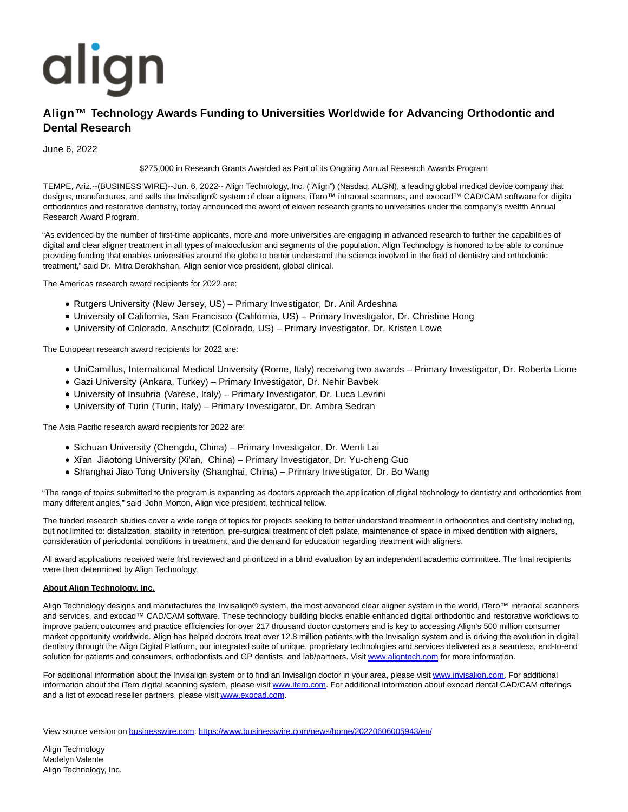## align

## **Align™ Technology Awards Funding to Universities Worldwide for Advancing Orthodontic and Dental Research**

June 6, 2022

\$275,000 in Research Grants Awarded as Part of its Ongoing Annual Research Awards Program

TEMPE, Ariz.--(BUSINESS WIRE)--Jun. 6, 2022-- Align Technology, Inc. ("Align") (Nasdaq: ALGN), a leading global medical device company that designs, manufactures, and sells the Invisalign® system of clear aligners, iTero™ intraoral scanners, and exocad™ CAD/CAM software for digital orthodontics and restorative dentistry, today announced the award of eleven research grants to universities under the company's twelfth Annual Research Award Program.

"As evidenced by the number of first-time applicants, more and more universities are engaging in advanced research to further the capabilities of digital and clear aligner treatment in all types of malocclusion and segments of the population. Align Technology is honored to be able to continue providing funding that enables universities around the globe to better understand the science involved in the field of dentistry and orthodontic treatment," said Dr. Mitra Derakhshan, Align senior vice president, global clinical.

The Americas research award recipients for 2022 are:

- Rutgers University (New Jersey, US) Primary Investigator, Dr. Anil Ardeshna
- University of California, San Francisco (California, US) Primary Investigator, Dr. Christine Hong
- University of Colorado, Anschutz (Colorado, US) Primary Investigator, Dr. Kristen Lowe

The European research award recipients for 2022 are:

- UniCamillus, International Medical University (Rome, Italy) receiving two awards Primary Investigator, Dr. Roberta Lione
- Gazi University (Ankara, Turkey) Primary Investigator, Dr. Nehir Bavbek
- University of Insubria (Varese, Italy) Primary Investigator, Dr. Luca Levrini
- University of Turin (Turin, Italy) Primary Investigator, Dr. Ambra Sedran

The Asia Pacific research award recipients for 2022 are:

- Sichuan University (Chengdu, China) Primary Investigator, Dr. Wenli Lai
- Xi'an Jiaotong University (Xi'an, China) Primary Investigator, Dr. Yu-cheng Guo
- Shanghai Jiao Tong University (Shanghai, China) Primary Investigator, Dr. Bo Wang

"The range of topics submitted to the program is expanding as doctors approach the application of digital technology to dentistry and orthodontics from many different angles," said John Morton, Align vice president, technical fellow.

The funded research studies cover a wide range of topics for projects seeking to better understand treatment in orthodontics and dentistry including, but not limited to: distalization, stability in retention, pre-surgical treatment of cleft palate, maintenance of space in mixed dentition with aligners, consideration of periodontal conditions in treatment, and the demand for education regarding treatment with aligners.

All award applications received were first reviewed and prioritized in a blind evaluation by an independent academic committee. The final recipients were then determined by Align Technology.

## **About Align Technology, Inc.**

Align Technology designs and manufactures the Invisalign® system, the most advanced clear aligner system in the world, iTero™ intraoral scanners and services, and exocad™ CAD/CAM software. These technology building blocks enable enhanced digital orthodontic and restorative workflows to improve patient outcomes and practice efficiencies for over 217 thousand doctor customers and is key to accessing Align's 500 million consumer market opportunity worldwide. Align has helped doctors treat over 12.8 million patients with the Invisalign system and is driving the evolution in digital dentistry through the Align Digital Platform, our integrated suite of unique, proprietary technologies and services delivered as a seamless, end-to-end solution for patients and consumers, orthodontists and GP dentists, and lab/partners. Visit [www.aligntech.com f](https://cts.businesswire.com/ct/CT?id=smartlink&url=http%3A%2F%2Fwww.aligntech.com&esheet=52741406&newsitemid=20220606005943&lan=en-US&anchor=www.aligntech.com&index=1&md5=a6d5b75b41eb3e47a76a5ca9c764b4a4)or more information.

For additional information about the Invisalign system or to find an Invisalign doctor in your area, please visi[t www.invisalign.com.](https://cts.businesswire.com/ct/CT?id=smartlink&url=https%3A%2F%2Fwww.globenewswire.com%2FTracker%3Fdata%3DLtM6y2Fh9wylt6NBEMUDRLdbt3xfcFJIYcPKL0QE0sV7YnBziyreHMb1OMC-hd3Lx9C3iZugH3SikPRZxnAoih6PaE4WzAPmiCMBm-rvemE%3D&esheet=52741406&newsitemid=20220606005943&lan=en-US&anchor=www.invisalign.com&index=2&md5=5fea8d69375569c8dd013c9c977a2acb) For additional information about the iTero digital scanning system, please visit [www.itero.com.](https://cts.businesswire.com/ct/CT?id=smartlink&url=https%3A%2F%2Fwww.globenewswire.com%2FTracker%3Fdata%3DbtNaWrvtKksUoDNN2jZeftv3MPprCU-AVUdDqJf4_bzFyS6YJ1zAzMpZ8iqNNmqP8Eq4nqlZbMU-O_tynH4agw%3D%3D&esheet=52741406&newsitemid=20220606005943&lan=en-US&anchor=www.itero.com&index=3&md5=797c7e77b387ee28e02443c205e9d3d4) For additional information about exocad dental CAD/CAM offerings and a list of exocad reseller partners, please visi[t www.exocad.com.](https://cts.businesswire.com/ct/CT?id=smartlink&url=https%3A%2F%2Fwww.globenewswire.com%2FTracker%3Fdata%3DL6Ppmk56ROdOyzg0pyS1c8jJ_As4Yg8CYdW8cey686z2Hxgsw31lzUKCTeMkGIJgj9qtzQMtojI4EIm8XpgiDA%3D%3D&esheet=52741406&newsitemid=20220606005943&lan=en-US&anchor=www.exocad.com&index=4&md5=a999c3173dd41348a1ccbeed85bd5d10)

View source version on [businesswire.com:](http://businesswire.com/)<https://www.businesswire.com/news/home/20220606005943/en/>

Align Technology Madelyn Valente Align Technology, Inc.